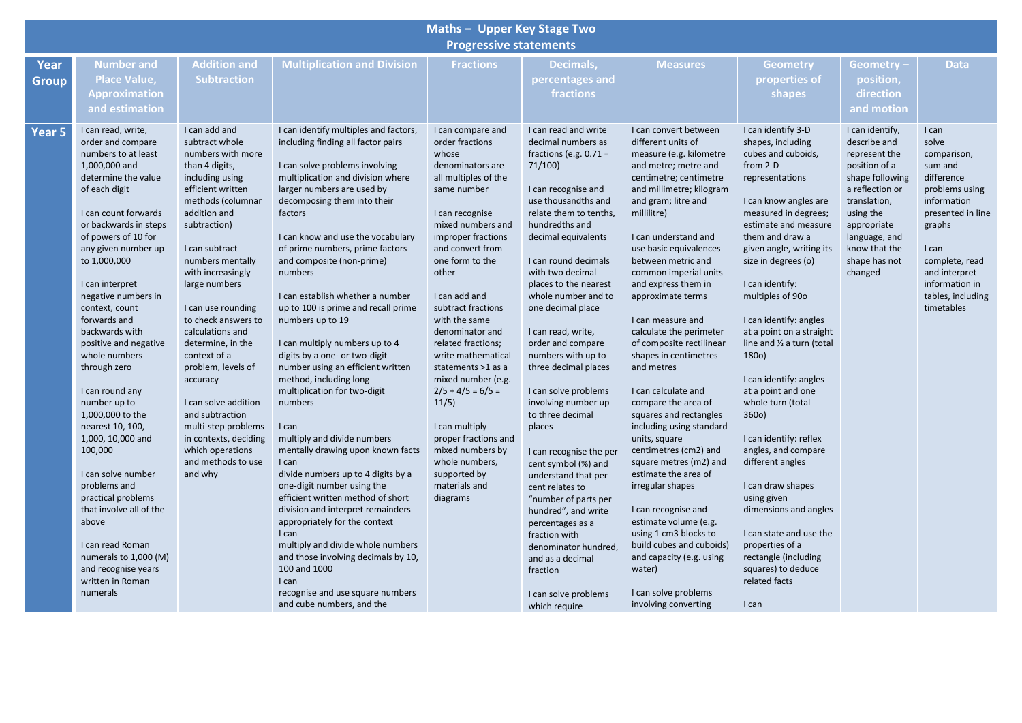|                               | <b>Maths - Upper Key Stage Two</b>                                                                                                                                                                                                                                                                                                                                                                                                                                                                                                                                                                                                                                                                            |                                                                                                                                                                                                                                                                                                                                                                                                                                                                                                                                         |                                                                                                                                                                                                                                                                                                                                                                                                                                                                                                                                                                                                                                                                                                                                                                                                                                                                                                                                                                                                                                                                            |                                                                                                                                                                                                                                                                                                                                                                                                                                                                                                                                                        |                                                                                                                                                                                                                                                                                                                                                                                                                                                                                                                                                                                                                                                                                                                                                                            |                                                                                                                                                                                                                                                                                                                                                                                                                                                                                                                                                                                                                                                                                                                                                                                                                                                                           |                                                                                                                                                                                                                                                                                                                                                                                                                                                                                                                                                                                                                                                                                                                                    |                                                                                                                                                                                                                   |                                                                                                                                                                                                                         |  |  |  |  |
|-------------------------------|---------------------------------------------------------------------------------------------------------------------------------------------------------------------------------------------------------------------------------------------------------------------------------------------------------------------------------------------------------------------------------------------------------------------------------------------------------------------------------------------------------------------------------------------------------------------------------------------------------------------------------------------------------------------------------------------------------------|-----------------------------------------------------------------------------------------------------------------------------------------------------------------------------------------------------------------------------------------------------------------------------------------------------------------------------------------------------------------------------------------------------------------------------------------------------------------------------------------------------------------------------------------|----------------------------------------------------------------------------------------------------------------------------------------------------------------------------------------------------------------------------------------------------------------------------------------------------------------------------------------------------------------------------------------------------------------------------------------------------------------------------------------------------------------------------------------------------------------------------------------------------------------------------------------------------------------------------------------------------------------------------------------------------------------------------------------------------------------------------------------------------------------------------------------------------------------------------------------------------------------------------------------------------------------------------------------------------------------------------|--------------------------------------------------------------------------------------------------------------------------------------------------------------------------------------------------------------------------------------------------------------------------------------------------------------------------------------------------------------------------------------------------------------------------------------------------------------------------------------------------------------------------------------------------------|----------------------------------------------------------------------------------------------------------------------------------------------------------------------------------------------------------------------------------------------------------------------------------------------------------------------------------------------------------------------------------------------------------------------------------------------------------------------------------------------------------------------------------------------------------------------------------------------------------------------------------------------------------------------------------------------------------------------------------------------------------------------------|---------------------------------------------------------------------------------------------------------------------------------------------------------------------------------------------------------------------------------------------------------------------------------------------------------------------------------------------------------------------------------------------------------------------------------------------------------------------------------------------------------------------------------------------------------------------------------------------------------------------------------------------------------------------------------------------------------------------------------------------------------------------------------------------------------------------------------------------------------------------------|------------------------------------------------------------------------------------------------------------------------------------------------------------------------------------------------------------------------------------------------------------------------------------------------------------------------------------------------------------------------------------------------------------------------------------------------------------------------------------------------------------------------------------------------------------------------------------------------------------------------------------------------------------------------------------------------------------------------------------|-------------------------------------------------------------------------------------------------------------------------------------------------------------------------------------------------------------------|-------------------------------------------------------------------------------------------------------------------------------------------------------------------------------------------------------------------------|--|--|--|--|
| <b>Progressive statements</b> |                                                                                                                                                                                                                                                                                                                                                                                                                                                                                                                                                                                                                                                                                                               |                                                                                                                                                                                                                                                                                                                                                                                                                                                                                                                                         |                                                                                                                                                                                                                                                                                                                                                                                                                                                                                                                                                                                                                                                                                                                                                                                                                                                                                                                                                                                                                                                                            |                                                                                                                                                                                                                                                                                                                                                                                                                                                                                                                                                        |                                                                                                                                                                                                                                                                                                                                                                                                                                                                                                                                                                                                                                                                                                                                                                            |                                                                                                                                                                                                                                                                                                                                                                                                                                                                                                                                                                                                                                                                                                                                                                                                                                                                           |                                                                                                                                                                                                                                                                                                                                                                                                                                                                                                                                                                                                                                                                                                                                    |                                                                                                                                                                                                                   |                                                                                                                                                                                                                         |  |  |  |  |
| Year<br><b>Group</b>          | <b>Number and</b><br><b>Place Value,</b><br><b>Approximation</b><br>and estimation                                                                                                                                                                                                                                                                                                                                                                                                                                                                                                                                                                                                                            | <b>Addition and</b><br><b>Subtraction</b>                                                                                                                                                                                                                                                                                                                                                                                                                                                                                               | <b>Multiplication and Division</b>                                                                                                                                                                                                                                                                                                                                                                                                                                                                                                                                                                                                                                                                                                                                                                                                                                                                                                                                                                                                                                         | <b>Fractions</b>                                                                                                                                                                                                                                                                                                                                                                                                                                                                                                                                       | Decimals,<br>percentages and<br>fractions                                                                                                                                                                                                                                                                                                                                                                                                                                                                                                                                                                                                                                                                                                                                  | <b>Measures</b>                                                                                                                                                                                                                                                                                                                                                                                                                                                                                                                                                                                                                                                                                                                                                                                                                                                           | <b>Geometry</b><br>properties of<br>shapes                                                                                                                                                                                                                                                                                                                                                                                                                                                                                                                                                                                                                                                                                         | Geometry-<br>position,<br>direction<br>and motion                                                                                                                                                                 | <b>Data</b>                                                                                                                                                                                                             |  |  |  |  |
| Year 5                        | I can read, write,<br>order and compare<br>numbers to at least<br>1,000,000 and<br>determine the value<br>of each digit<br>I can count forwards<br>or backwards in steps<br>of powers of 10 for<br>any given number up<br>to 1,000,000<br>I can interpret<br>negative numbers in<br>context, count<br>forwards and<br>backwards with<br>positive and negative<br>whole numbers<br>through zero<br>I can round any<br>number up to<br>1,000,000 to the<br>nearest 10, 100,<br>1,000, 10,000 and<br>100,000<br>I can solve number<br>problems and<br>practical problems<br>that involve all of the<br>above<br>I can read Roman<br>numerals to 1,000 (M)<br>and recognise years<br>written in Roman<br>numerals | I can add and<br>subtract whole<br>numbers with more<br>than 4 digits,<br>including using<br>efficient written<br>methods (columnar<br>addition and<br>subtraction)<br>I can subtract<br>numbers mentally<br>with increasingly<br>large numbers<br>I can use rounding<br>to check answers to<br>calculations and<br>determine, in the<br>context of a<br>problem, levels of<br>accuracy<br>I can solve addition<br>and subtraction<br>multi-step problems<br>in contexts, deciding<br>which operations<br>and methods to use<br>and why | I can identify multiples and factors,<br>including finding all factor pairs<br>I can solve problems involving<br>multiplication and division where<br>larger numbers are used by<br>decomposing them into their<br>factors<br>I can know and use the vocabulary<br>of prime numbers, prime factors<br>and composite (non-prime)<br>numbers<br>I can establish whether a number<br>up to 100 is prime and recall prime<br>numbers up to 19<br>I can multiply numbers up to 4<br>digits by a one- or two-digit<br>number using an efficient written<br>method, including long<br>multiplication for two-digit<br>numbers<br>I can<br>multiply and divide numbers<br>mentally drawing upon known facts<br>I can<br>divide numbers up to 4 digits by a<br>one-digit number using the<br>efficient written method of short<br>division and interpret remainders<br>appropriately for the context<br>I can<br>multiply and divide whole numbers<br>and those involving decimals by 10,<br>100 and 1000<br>I can<br>recognise and use square numbers<br>and cube numbers, and the | I can compare and<br>order fractions<br>whose<br>denominators are<br>all multiples of the<br>same number<br>I can recognise<br>mixed numbers and<br>improper fractions<br>and convert from<br>one form to the<br>other<br>I can add and<br>subtract fractions<br>with the same<br>denominator and<br>related fractions;<br>write mathematical<br>statements >1 as a<br>mixed number (e.g.<br>$2/5 + 4/5 = 6/5 =$<br>11/5)<br>I can multiply<br>proper fractions and<br>mixed numbers by<br>whole numbers,<br>supported by<br>materials and<br>diagrams | I can read and write<br>decimal numbers as<br>fractions (e.g. $0.71 =$<br>71/100)<br>I can recognise and<br>use thousandths and<br>relate them to tenths,<br>hundredths and<br>decimal equivalents<br>I can round decimals<br>with two decimal<br>places to the nearest<br>whole number and to<br>one decimal place<br>I can read, write,<br>order and compare<br>numbers with up to<br>three decimal places<br>I can solve problems<br>involving number up<br>to three decimal<br>places<br>I can recognise the per<br>cent symbol (%) and<br>understand that per<br>cent relates to<br>"number of parts per<br>hundred", and write<br>percentages as a<br>fraction with<br>denominator hundred,<br>and as a decimal<br>fraction<br>I can solve problems<br>which require | I can convert between<br>different units of<br>measure (e.g. kilometre<br>and metre; metre and<br>centimetre; centimetre<br>and millimetre; kilogram<br>and gram; litre and<br>millilitre)<br>I can understand and<br>use basic equivalences<br>between metric and<br>common imperial units<br>and express them in<br>approximate terms<br>I can measure and<br>calculate the perimeter<br>of composite rectilinear<br>shapes in centimetres<br>and metres<br>I can calculate and<br>compare the area of<br>squares and rectangles<br>including using standard<br>units, square<br>centimetres (cm2) and<br>square metres (m2) and<br>estimate the area of<br>irregular shapes<br>I can recognise and<br>estimate volume (e.g.<br>using 1 cm3 blocks to<br>build cubes and cuboids)<br>and capacity (e.g. using<br>water)<br>I can solve problems<br>involving converting | I can identify 3-D<br>shapes, including<br>cubes and cuboids,<br>from 2-D<br>representations<br>I can know angles are<br>measured in degrees;<br>estimate and measure<br>them and draw a<br>given angle, writing its<br>size in degrees (o)<br>I can identify:<br>multiples of 90o<br>I can identify: angles<br>at a point on a straight<br>line and 1/2 a turn (total<br>180 <sub>o</sub> )<br>I can identify: angles<br>at a point and one<br>whole turn (total<br>360o)<br>I can identify: reflex<br>angles, and compare<br>different angles<br>I can draw shapes<br>using given<br>dimensions and angles<br>I can state and use the<br>properties of a<br>rectangle (including<br>squares) to deduce<br>related facts<br>I can | I can identify,<br>describe and<br>represent the<br>position of a<br>shape following<br>a reflection or<br>translation,<br>using the<br>appropriate<br>language, and<br>know that the<br>shape has not<br>changed | I can<br>solve<br>comparison,<br>sum and<br>difference<br>problems using<br>information<br>presented in line<br>graphs<br>I can<br>complete, read<br>and interpret<br>information in<br>tables, including<br>timetables |  |  |  |  |